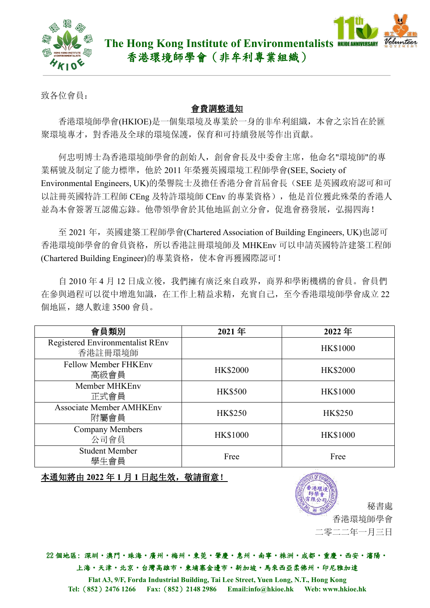

致各位會員:

## 會費調整通知

香港環境師學會(HKIOE)是一個集環境及專業於一身的非牟利組織,本會之宗旨在於匯 聚環境專才,對香港及全球的環境保護,保育和可持續發展等作出貢獻。

何忠明博士為香港環境師學會的創始人,創會會長及中委會主席,他命名"環境師"的專 業稱號及制定了能力標準, 他於 2011 年榮獲英國環境工程師學會(SEE, Society of Environmental Engineers, UK)的榮譽院士及擔任香港分會首屆會長(SEE 是英國政府認可和可 以註冊英國特許工程師 CEng 及特許環境師 CEnv 的專業資格), 他是首位獲此殊榮的香港人 並為本會簽署互認備忘錄。他帶領學會於其他地區創立分會,促進會務發展,弘揚四海!

至 2021 年, 英國建築工程師學會(Chartered Association of Building Engineers, UK)也認可 香港環境師學會的會員資格,所以香港註冊環境師及 MHKEnv 可以申請英國特許建築工程師 (Chartered Building Engineer)的專業資格,使本會再獲國際認可!

自 2010 年 4 月 12 日成立後,我們擁有廣泛來自政界,商界和學術機構的會員。會員們 在參與過程可以從中增進知識,在工作上精益求精,充實自己,至今香港環境師學會成立 22 個地區,總人數達 3500 會員。

| 會員類別                                               | 2021年           | 2022年           |
|----------------------------------------------------|-----------------|-----------------|
| <b>Registered Environmentalist REnv</b><br>香港註冊環境師 |                 | <b>HK\$1000</b> |
| <b>Fellow Member FHKEnv</b><br>高級會員                | <b>HK\$2000</b> | <b>HK\$2000</b> |
| Member MHKEnv<br>正式會員                              | <b>HK\$500</b>  | <b>HK\$1000</b> |
| <b>Associate Member AMHKEnv</b><br>附屬會員            | <b>HK\$250</b>  | <b>HK\$250</b>  |
| <b>Company Members</b><br>公司會員                     | <b>HK\$1000</b> | <b>HK\$1000</b> |
| <b>Student Member</b><br>學生會員                      | Free            | Free            |

本通知將由 **2022** 年 **1** 月 **1** 日起生效,敬請留意!



22 個地區: 深圳‧澳門‧珠海‧廣州‧梅州‧東莞‧肇慶‧惠州‧南寧‧株洲‧成都‧重慶‧西安‧瀋陽‧ 上海。天津·北京·台灣高雄市·柬埔寨金邊市·新加坡·馬來西亞柔佛州·印尼雅加達

**Flat A3, 9/F, Forda Industrial Building, Tai Lee Street, Yuen Long, N.T., Hong Kong Tel:**(**852**)**2476 1266 Fax:**(**852**)**2148 2986 Email:[info@hkioe.hk](mailto:info@hkioe.hk) Web: www.hkioe.hk**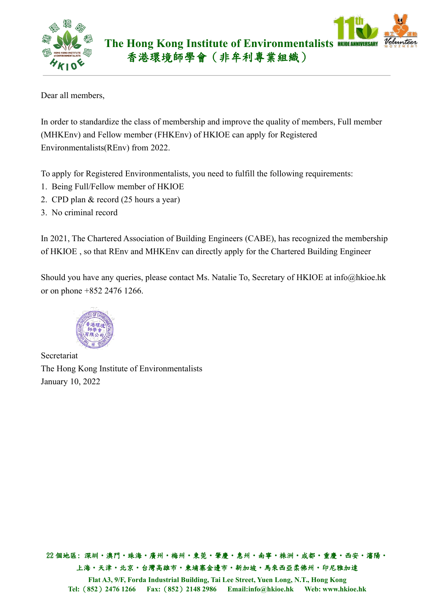

Dear all members,

In order to standardize the class of membership and improve the quality of members, Full member (MHKEnv) and Fellow member (FHKEnv) of HKIOE can apply for Registered Environmentalists(REnv) from 2022.

To apply for Registered Environmentalists, you need to fulfill the following requirements:

- 1. Being Full/Fellow member of HKIOE
- 2. CPD plan & record (25 hours a year)
- 3. No criminal record

In 2021, The Chartered Association of Building Engineers (CABE), has recognized the membership of HKIOE , so that REnv and MHKEnv can directly apply for the Chartered Building Engineer

Should you have any queries, please contact Ms. Natalie To, Secretary of HKIOE at [info@hkioe.hk](mailto:info@hkioe.hk)



The Hong Kong Institute of Environmentalists January 10, 2022

22 個地區: 深圳‧澳門‧珠海‧廣州‧梅州‧東莞‧肇慶‧惠州‧南寧‧株洲‧成都‧重慶‧西安‧瀋陽‧ 上海。天津·北京·台灣高雄市·東埔寨金邊市·新加坡·馬來西亞柔佛州·印尼雅加達 **Flat A3, 9/F, Forda Industrial Building, Tai Lee Street, Yuen Long, N.T., Hong Kong Tel:**(**852**)**2476 1266 Fax:**(**852**)**2148 2986 Email:[info@hkioe.hk](mailto:info@hkioe.hk) Web: www.hkioe.hk**